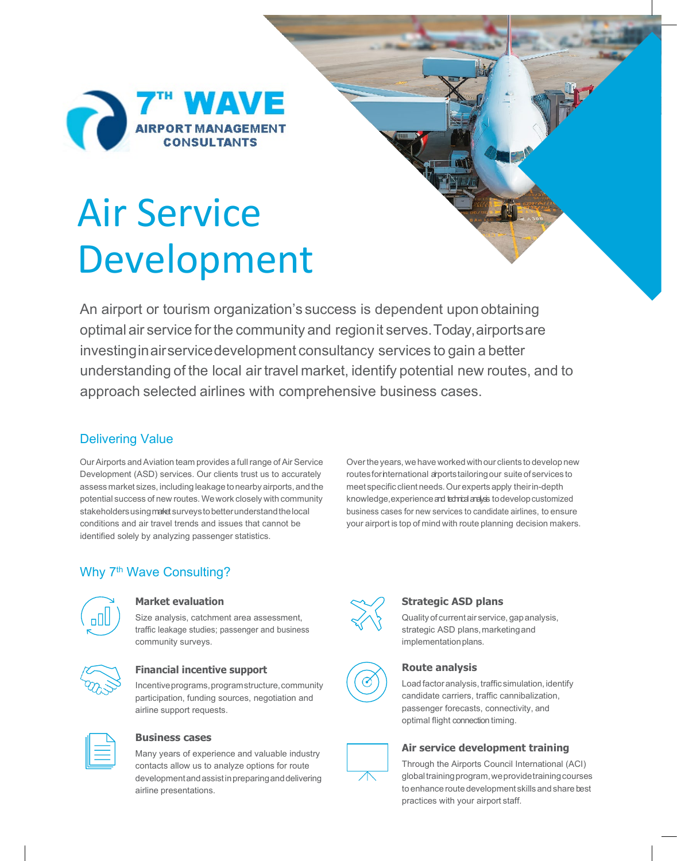## **TH WAVE**<br>AIRPORT MANAGEMENT **rd**

# Air Service Development

An airport or tourism organization's success is dependent upon obtaining optimal air service forthe community and regionit serves.Today,airportsare investinginairservicedevelopment consultancy services to gain a better understanding of the local air travel market, identify potential new routes, and to approach selected airlines with comprehensive business cases.

#### Delivering Value

OurAirports andAviation team provides a fullrange of Air Service Development (ASD) services. Our clients trust us to accurately assess market sizes, including leakage to nearby airports, and the potential success of new routes. Wework closely with community stakeholders using maket surveys to better understand the local conditions and air travel trends and issues that cannot be identified solely by analyzing passenger statistics.

Over the years, we have worked with our clients to develop new routes for international arportstailoring our suite of services to meet specific client needs.Our experts apply theirin-depth knowledge, experience and technical analysis to develop customized business cases for new services to candidate airlines, to ensure your airport is top of mind with route planning decision makers.

#### Why 7<sup>th</sup> Wave Consulting?



#### **Market evaluation**

Size analysis, catchment area assessment, traffic leakage studies; passenger and business community surveys.



#### **Financial incentive support**

Incentiveprograms,programstructure,community participation, funding sources, negotiation and airline support requests.



#### **Business cases**

Many years of experience and valuable industry contacts allow us to analyze options for route developmentandassistinpreparinganddelivering airline presentations.



#### **Strategic ASD plans**

Qualityof currentair service, gapanalysis, strategic ASD plans, marketing and implementation plans.



#### **Route analysis**

Load factor analysis, traffic simulation, identify candidate carriers, traffic cannibalization, passenger forecasts, connectivity, and optimal flight connection timing.



#### **Air service development training**

Through the Airports Council International (ACI) global training program, we provide training courses to enhance route development skills and share best practices with your airport staff.